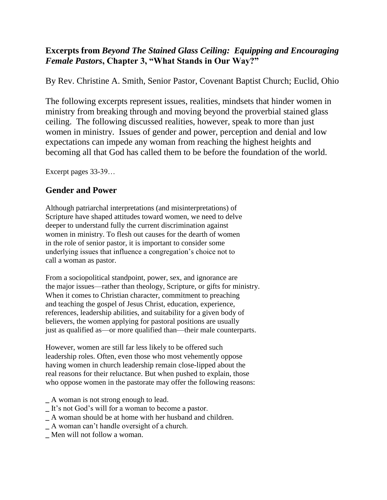## **Excerpts from** *Beyond The Stained Glass Ceiling: Equipping and Encouraging Female Pastors***, Chapter 3, "What Stands in Our Way?"**

By Rev. Christine A. Smith, Senior Pastor, Covenant Baptist Church; Euclid, Ohio

The following excerpts represent issues, realities, mindsets that hinder women in ministry from breaking through and moving beyond the proverbial stained glass ceiling. The following discussed realities, however, speak to more than just women in ministry. Issues of gender and power, perception and denial and low expectations can impede any woman from reaching the highest heights and becoming all that God has called them to be before the foundation of the world.

Excerpt pages 33-39…

# **Gender and Power**

Although patriarchal interpretations (and misinterpretations) of Scripture have shaped attitudes toward women, we need to delve deeper to understand fully the current discrimination against women in ministry. To flesh out causes for the dearth of women in the role of senior pastor, it is important to consider some underlying issues that influence a congregation's choice not to call a woman as pastor.

From a sociopolitical standpoint, power, sex, and ignorance are the major issues—rather than theology, Scripture, or gifts for ministry. When it comes to Christian character, commitment to preaching and teaching the gospel of Jesus Christ, education, experience, references, leadership abilities, and suitability for a given body of believers, the women applying for pastoral positions are usually just as qualified as—or more qualified than—their male counterparts.

However, women are still far less likely to be offered such leadership roles. Often, even those who most vehemently oppose having women in church leadership remain close-lipped about the real reasons for their reluctance. But when pushed to explain, those who oppose women in the pastorate may offer the following reasons:

- **\_** A woman is not strong enough to lead.
- **\_** It's not God's will for a woman to become a pastor.
- **\_** A woman should be at home with her husband and children.
- **\_** A woman can't handle oversight of a church.
- **\_** Men will not follow a woman.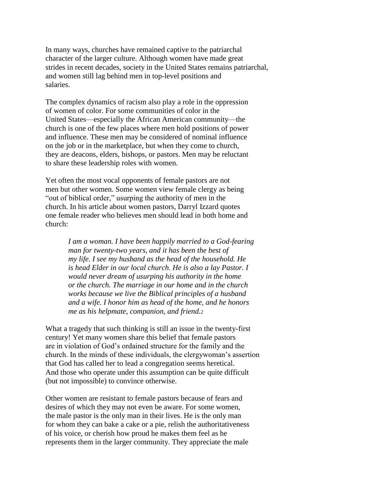In many ways, churches have remained captive to the patriarchal character of the larger culture. Although women have made great strides in recent decades, society in the United States remains patriarchal, and women still lag behind men in top-level positions and salaries.

The complex dynamics of racism also play a role in the oppression of women of color. For some communities of color in the United States—especially the African American community—the church is one of the few places where men hold positions of power and influence. These men may be considered of nominal influence on the job or in the marketplace, but when they come to church, they are deacons, elders, bishops, or pastors. Men may be reluctant to share these leadership roles with women.

Yet often the most vocal opponents of female pastors are not men but other women. Some women view female clergy as being "out of biblical order," usurping the authority of men in the church. In his article about women pastors, Darryl Izzard quotes one female reader who believes men should lead in both home and church:

> *I am a woman. I have been happily married to a God-fearing man for twenty-two years, and it has been the best of my life. I see my husband as the head of the household. He is head Elder in our local church. He is also a lay Pastor. I would never dream of usurping his authority in the home or the church. The marriage in our home and in the church works because we live the Biblical principles of a husband and a wife. I honor him as head of the home, and he honors me as his helpmate, companion, and friend.<sup>2</sup>*

What a tragedy that such thinking is still an issue in the twenty-first century! Yet many women share this belief that female pastors are in violation of God's ordained structure for the family and the church. In the minds of these individuals, the clergywoman's assertion that God has called her to lead a congregation seems heretical. And those who operate under this assumption can be quite difficult (but not impossible) to convince otherwise.

Other women are resistant to female pastors because of fears and desires of which they may not even be aware. For some women, the male pastor is the only man in their lives. He is the only man for whom they can bake a cake or a pie, relish the authoritativeness of his voice, or cherish how proud he makes them feel as he represents them in the larger community. They appreciate the male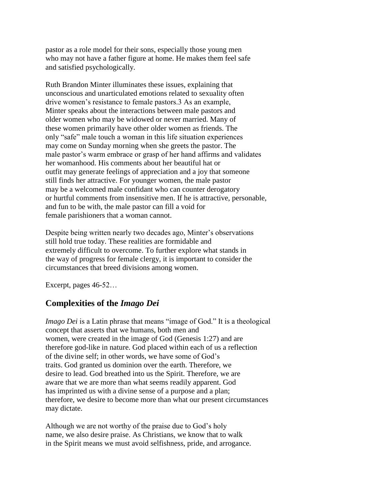pastor as a role model for their sons, especially those young men who may not have a father figure at home. He makes them feel safe and satisfied psychologically.

Ruth Brandon Minter illuminates these issues, explaining that unconscious and unarticulated emotions related to sexuality often drive women's resistance to female pastors.3 As an example, Minter speaks about the interactions between male pastors and older women who may be widowed or never married. Many of these women primarily have other older women as friends. The only "safe" male touch a woman in this life situation experiences may come on Sunday morning when she greets the pastor. The male pastor's warm embrace or grasp of her hand affirms and validates her womanhood. His comments about her beautiful hat or outfit may generate feelings of appreciation and a joy that someone still finds her attractive. For younger women, the male pastor may be a welcomed male confidant who can counter derogatory or hurtful comments from insensitive men. If he is attractive, personable, and fun to be with, the male pastor can fill a void for female parishioners that a woman cannot.

Despite being written nearly two decades ago, Minter's observations still hold true today. These realities are formidable and extremely difficult to overcome. To further explore what stands in the way of progress for female clergy, it is important to consider the circumstances that breed divisions among women.

Excerpt, pages 46-52…

### **Complexities of the** *Imago Dei*

*Imago Dei* is a Latin phrase that means "image of God." It is a theological concept that asserts that we humans, both men and women, were created in the image of God (Genesis 1:27) and are therefore god-like in nature. God placed within each of us a reflection of the divine self; in other words, we have some of God's traits. God granted us dominion over the earth. Therefore, we desire to lead. God breathed into us the Spirit. Therefore, we are aware that we are more than what seems readily apparent. God has imprinted us with a divine sense of a purpose and a plan; therefore, we desire to become more than what our present circumstances may dictate.

Although we are not worthy of the praise due to God's holy name, we also desire praise. As Christians, we know that to walk in the Spirit means we must avoid selfishness, pride, and arrogance.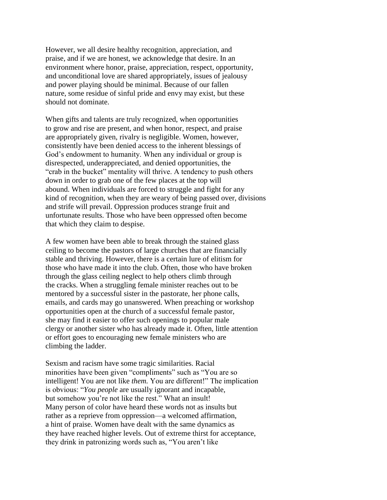However, we all desire healthy recognition, appreciation, and praise, and if we are honest, we acknowledge that desire. In an environment where honor, praise, appreciation, respect, opportunity, and unconditional love are shared appropriately, issues of jealousy and power playing should be minimal. Because of our fallen nature, some residue of sinful pride and envy may exist, but these should not dominate.

When gifts and talents are truly recognized, when opportunities to grow and rise are present, and when honor, respect, and praise are appropriately given, rivalry is negligible. Women, however, consistently have been denied access to the inherent blessings of God's endowment to humanity. When any individual or group is disrespected, underappreciated, and denied opportunities, the "crab in the bucket" mentality will thrive. A tendency to push others down in order to grab one of the few places at the top will abound. When individuals are forced to struggle and fight for any kind of recognition, when they are weary of being passed over, divisions and strife will prevail. Oppression produces strange fruit and unfortunate results. Those who have been oppressed often become that which they claim to despise.

A few women have been able to break through the stained glass ceiling to become the pastors of large churches that are financially stable and thriving. However, there is a certain lure of elitism for those who have made it into the club. Often, those who have broken through the glass ceiling neglect to help others climb through the cracks. When a struggling female minister reaches out to be mentored by a successful sister in the pastorate, her phone calls, emails, and cards may go unanswered. When preaching or workshop opportunities open at the church of a successful female pastor, she may find it easier to offer such openings to popular male clergy or another sister who has already made it. Often, little attention or effort goes to encouraging new female ministers who are climbing the ladder.

Sexism and racism have some tragic similarities. Racial minorities have been given "compliments" such as "You are so intelligent! You are not like *them.* You are different!" The implication is obvious: "*You people* are usually ignorant and incapable, but somehow you're not like the rest." What an insult! Many person of color have heard these words not as insults but rather as a reprieve from oppression—a welcomed affirmation, a hint of praise. Women have dealt with the same dynamics as they have reached higher levels. Out of extreme thirst for acceptance, they drink in patronizing words such as, "You aren't like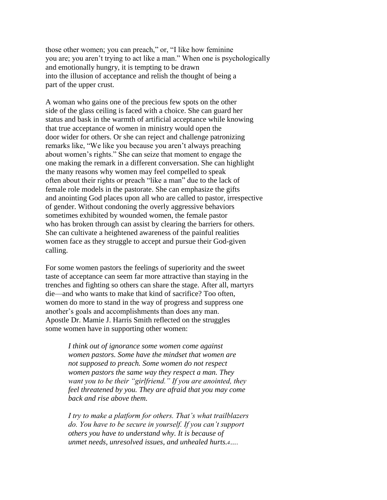those other women; you can preach," or, "I like how feminine you are; you aren't trying to act like a man." When one is psychologically and emotionally hungry, it is tempting to be drawn into the illusion of acceptance and relish the thought of being a part of the upper crust.

A woman who gains one of the precious few spots on the other side of the glass ceiling is faced with a choice. She can guard her status and bask in the warmth of artificial acceptance while knowing that true acceptance of women in ministry would open the door wider for others. Or she can reject and challenge patronizing remarks like, "We like you because you aren't always preaching about women's rights." She can seize that moment to engage the one making the remark in a different conversation. She can highlight the many reasons why women may feel compelled to speak often about their rights or preach "like a man" due to the lack of female role models in the pastorate. She can emphasize the gifts and anointing God places upon all who are called to pastor, irrespective of gender. Without condoning the overly aggressive behaviors sometimes exhibited by wounded women, the female pastor who has broken through can assist by clearing the barriers for others. She can cultivate a heightened awareness of the painful realities women face as they struggle to accept and pursue their God-given calling.

For some women pastors the feelings of superiority and the sweet taste of acceptance can seem far more attractive than staying in the trenches and fighting so others can share the stage. After all, martyrs die—and who wants to make that kind of sacrifice? Too often, women do more to stand in the way of progress and suppress one another's goals and accomplishments than does any man. Apostle Dr. Mamie J. Harris Smith reflected on the struggles some women have in supporting other women:

> *I think out of ignorance some women come against women pastors. Some have the mindset that women are not supposed to preach. Some women do not respect women pastors the same way they respect a man. They want you to be their "girlfriend." If you are anointed, they feel threatened by you. They are afraid that you may come back and rise above them.*

*I try to make a platform for others. That's what trailblazers do. You have to be secure in yourself. If you can't support others you have to understand why. It is because of unmet needs, unresolved issues, and unhealed hurts.4….*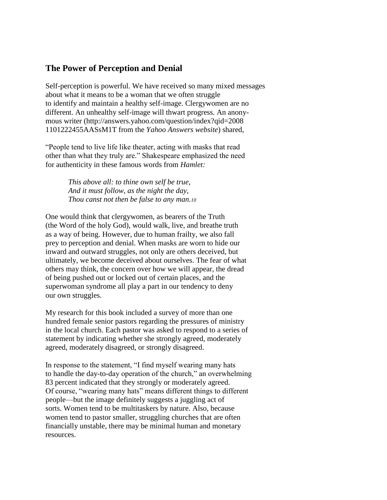### **The Power of Perception and Denial**

Self-perception is powerful. We have received so many mixed messages about what it means to be a woman that we often struggle to identify and maintain a healthy self-image. Clergywomen are no different. An unhealthy self-image will thwart progress. An anonymous writer (http://answers.yahoo.com/question/index?qid=2008 1101222455AASsM1T from the *Yahoo Answers website*) shared,

"People tend to live life like theater, acting with masks that read other than what they truly are." Shakespeare emphasized the need for authenticity in these famous words from *Hamlet:*

> *This above all: to thine own self be true, And it must follow, as the night the day, Thou canst not then be false to any man.<sup>10</sup>*

One would think that clergywomen, as bearers of the Truth (the Word of the holy God), would walk, live, and breathe truth as a way of being. However, due to human frailty, we also fall prey to perception and denial. When masks are worn to hide our inward and outward struggles, not only are others deceived, but ultimately, we become deceived about ourselves. The fear of what others may think, the concern over how we will appear, the dread of being pushed out or locked out of certain places, and the superwoman syndrome all play a part in our tendency to deny our own struggles.

My research for this book included a survey of more than one hundred female senior pastors regarding the pressures of ministry in the local church. Each pastor was asked to respond to a series of statement by indicating whether she strongly agreed, moderately agreed, moderately disagreed, or strongly disagreed.

In response to the statement, "I find myself wearing many hats to handle the day-to-day operation of the church," an overwhelming 83 percent indicated that they strongly or moderately agreed. Of course, "wearing many hats" means different things to different people—but the image definitely suggests a juggling act of sorts. Women tend to be multitaskers by nature. Also, because women tend to pastor smaller, struggling churches that are often financially unstable, there may be minimal human and monetary resources.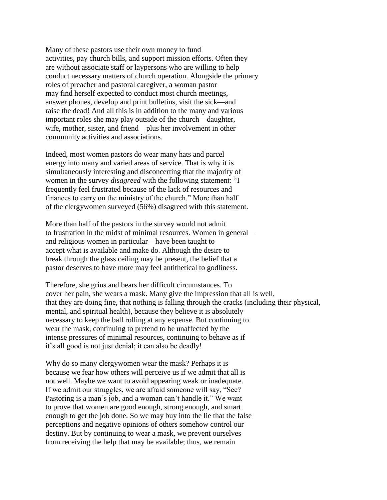Many of these pastors use their own money to fund activities, pay church bills, and support mission efforts. Often they are without associate staff or laypersons who are willing to help conduct necessary matters of church operation. Alongside the primary roles of preacher and pastoral caregiver, a woman pastor may find herself expected to conduct most church meetings, answer phones, develop and print bulletins, visit the sick—and raise the dead! And all this is in addition to the many and various important roles she may play outside of the church—daughter, wife, mother, sister, and friend—plus her involvement in other community activities and associations.

Indeed, most women pastors do wear many hats and parcel energy into many and varied areas of service. That is why it is simultaneously interesting and disconcerting that the majority of women in the survey *disagreed* with the following statement: "I frequently feel frustrated because of the lack of resources and finances to carry on the ministry of the church." More than half of the clergywomen surveyed (56%) disagreed with this statement.

More than half of the pastors in the survey would not admit to frustration in the midst of minimal resources. Women in general and religious women in particular—have been taught to accept what is available and make do. Although the desire to break through the glass ceiling may be present, the belief that a pastor deserves to have more may feel antithetical to godliness.

Therefore, she grins and bears her difficult circumstances. To cover her pain, she wears a mask. Many give the impression that all is well, that they are doing fine, that nothing is falling through the cracks (including their physical, mental, and spiritual health), because they believe it is absolutely necessary to keep the ball rolling at any expense. But continuing to wear the mask, continuing to pretend to be unaffected by the intense pressures of minimal resources, continuing to behave as if it's all good is not just denial; it can also be deadly!

Why do so many clergywomen wear the mask? Perhaps it is because we fear how others will perceive us if we admit that all is not well. Maybe we want to avoid appearing weak or inadequate. If we admit our struggles, we are afraid someone will say, "See? Pastoring is a man's job, and a woman can't handle it." We want to prove that women are good enough, strong enough, and smart enough to get the job done. So we may buy into the lie that the false perceptions and negative opinions of others somehow control our destiny. But by continuing to wear a mask, we prevent ourselves from receiving the help that may be available; thus, we remain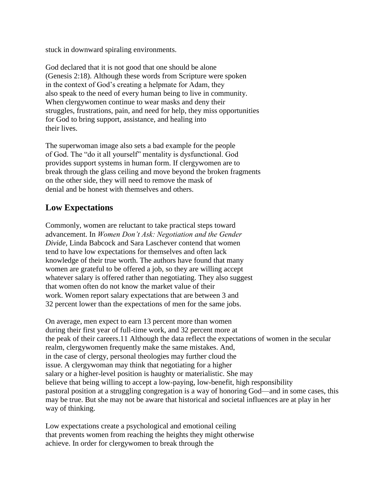stuck in downward spiraling environments.

God declared that it is not good that one should be alone (Genesis 2:18). Although these words from Scripture were spoken in the context of God's creating a helpmate for Adam, they also speak to the need of every human being to live in community. When clergywomen continue to wear masks and deny their struggles, frustrations, pain, and need for help, they miss opportunities for God to bring support, assistance, and healing into their lives.

The superwoman image also sets a bad example for the people of God. The "do it all yourself" mentality is dysfunctional. God provides support systems in human form. If clergywomen are to break through the glass ceiling and move beyond the broken fragments on the other side, they will need to remove the mask of denial and be honest with themselves and others.

### **Low Expectations**

Commonly, women are reluctant to take practical steps toward advancement. In *Women Don't Ask: Negotiation and the Gender Divide,* Linda Babcock and Sara Laschever contend that women tend to have low expectations for themselves and often lack knowledge of their true worth. The authors have found that many women are grateful to be offered a job, so they are willing accept whatever salary is offered rather than negotiating. They also suggest that women often do not know the market value of their work. Women report salary expectations that are between 3 and 32 percent lower than the expectations of men for the same jobs.

On average, men expect to earn 13 percent more than women during their first year of full-time work, and 32 percent more at the peak of their careers.11 Although the data reflect the expectations of women in the secular realm, clergywomen frequently make the same mistakes. And, in the case of clergy, personal theologies may further cloud the issue. A clergywoman may think that negotiating for a higher salary or a higher-level position is haughty or materialistic. She may believe that being willing to accept a low-paying, low-benefit, high responsibility pastoral position at a struggling congregation is a way of honoring God—and in some cases, this may be true. But she may not be aware that historical and societal influences are at play in her way of thinking.

Low expectations create a psychological and emotional ceiling that prevents women from reaching the heights they might otherwise achieve. In order for clergywomen to break through the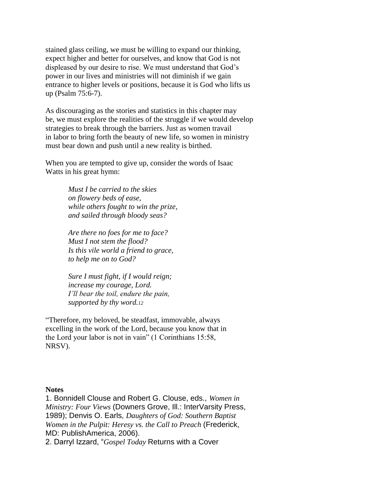stained glass ceiling, we must be willing to expand our thinking, expect higher and better for ourselves, and know that God is not displeased by our desire to rise. We must understand that God's power in our lives and ministries will not diminish if we gain entrance to higher levels or positions, because it is God who lifts us up (Psalm 75:6-7).

As discouraging as the stories and statistics in this chapter may be, we must explore the realities of the struggle if we would develop strategies to break through the barriers. Just as women travail in labor to bring forth the beauty of new life, so women in ministry must bear down and push until a new reality is birthed.

When you are tempted to give up, consider the words of Isaac Watts in his great hymn:

> *Must I be carried to the skies on flowery beds of ease, while others fought to win the prize, and sailed through bloody seas?*

*Are there no foes for me to face? Must I not stem the flood? Is this vile world a friend to grace, to help me on to God?*

*Sure I must fight, if I would reign; increase my courage, Lord. I'll bear the toil, endure the pain, supported by thy word.<sup>12</sup>*

"Therefore, my beloved, be steadfast, immovable, always excelling in the work of the Lord, because you know that in the Lord your labor is not in vain" (1 Corinthians 15:58, NRSV).

#### **Notes**

1. Bonnidell Clouse and Robert G. Clouse, eds., *Women in Ministry: Four Views* (Downers Grove, Ill.: InterVarsity Press, 1989); Denvis O. Earls, *Daughters of God: Southern Baptist Women in the Pulpit: Heresy vs. the Call to Preach* (Frederick, MD: PublishAmerica, 2006).

2. Darryl Izzard, "*Gospel Today* Returns with a Cover